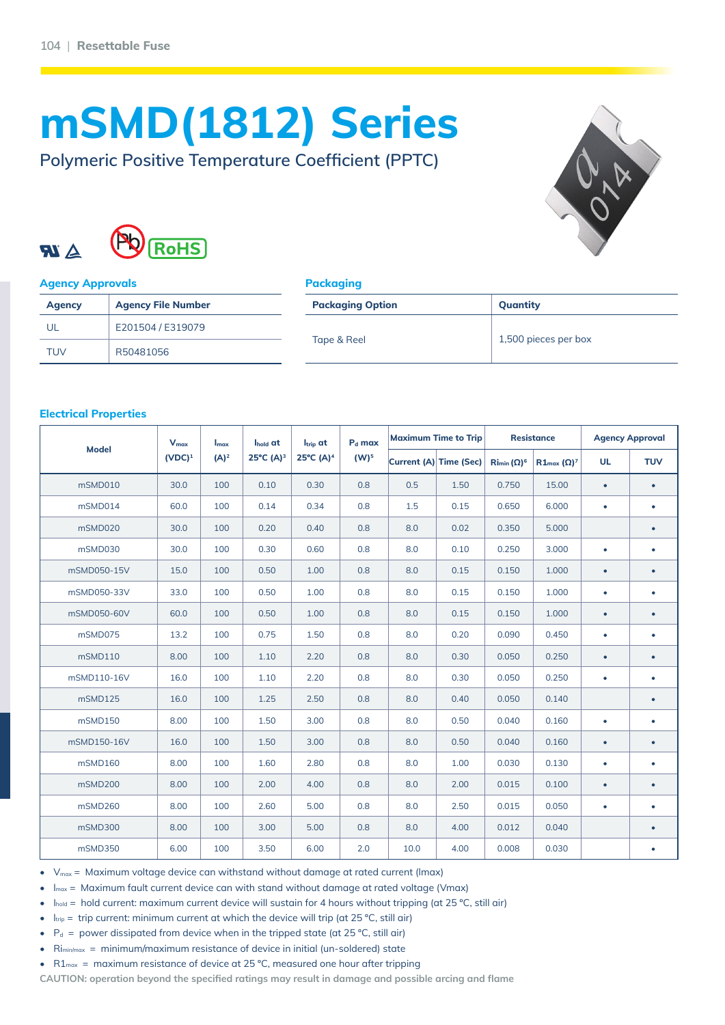# **mSMD(1812) Series**

**Polymeric Positive Temperature Coefficient (PPTC)**





#### **Agency Approvals**

| ckaaina |  |
|---------|--|
|         |  |
|         |  |

| <b>Agency</b> | <b>Agency File Number</b> | <b>Packaging Option</b> | Quantity             |  |  |
|---------------|---------------------------|-------------------------|----------------------|--|--|
| UL            | E201504 / E319079         |                         | 1,500 pieces per box |  |  |
| <b>TUV</b>    | R50481056                 | Tape & Reel             |                      |  |  |

#### **Electrical Properties**

| <b>Model</b> | $V_{\text{max}}$<br>Imax | Ihold at | Itrip at             | P <sub>d</sub> max              | <b>Maximum Time to Trip</b> |                        | <b>Resistance</b> |                                        | <b>Agency Approval</b> |           |            |
|--------------|--------------------------|----------|----------------------|---------------------------------|-----------------------------|------------------------|-------------------|----------------------------------------|------------------------|-----------|------------|
|              | $(VDC)^1$                | $(A)^2$  | $25^{\circ}C(A)^{3}$ | $25^{\circ}$ C (A) <sup>4</sup> | (W) <sup>5</sup>            | Current (A) Time (Sec) |                   | $\mathrm{Ri}_{\mathrm{min}}(\Omega)^6$ | $R1_{max} (\Omega)^7$  | <b>UL</b> | <b>TUV</b> |
| mSMD010      | 30.0                     | 100      | 0.10                 | 0.30                            | 0.8                         | 0.5                    | 1.50              | 0.750                                  | 15.00                  | $\bullet$ | $\bullet$  |
| mSMD014      | 60.0                     | 100      | 0.14                 | 0.34                            | 0.8                         | 1.5                    | 0.15              | 0.650                                  | 6.000                  | $\bullet$ | ٠          |
| mSMD020      | 30.0                     | 100      | 0.20                 | 0.40                            | 0.8                         | 8.0                    | 0.02              | 0.350                                  | 5.000                  |           | ٠          |
| mSMD030      | 30.0                     | 100      | 0.30                 | 0.60                            | 0.8                         | 8.0                    | 0.10              | 0.250                                  | 3.000                  | $\bullet$ | ٠          |
| mSMD050-15V  | 15.0                     | 100      | 0.50                 | 1.00                            | 0.8                         | 8.0                    | 0.15              | 0.150                                  | 1.000                  | $\bullet$ | ٠          |
| mSMD050-33V  | 33.0                     | 100      | 0.50                 | 1.00                            | 0.8                         | 8.0                    | 0.15              | 0.150                                  | 1.000                  | ٠         | ٠          |
| mSMD050-60V  | 60.0                     | 100      | 0.50                 | 1.00                            | 0.8                         | 8.0                    | 0.15              | 0.150                                  | 1.000                  | $\bullet$ | ٠          |
| mSMD075      | 13.2                     | 100      | 0.75                 | 1.50                            | 0.8                         | 8.0                    | 0.20              | 0.090                                  | 0.450                  | $\bullet$ | ٠          |
| mSMD110      | 8.00                     | 100      | 1.10                 | 2.20                            | 0.8                         | 8.0                    | 0.30              | 0.050                                  | 0.250                  | $\bullet$ | ٠          |
| mSMD110-16V  | 16.0                     | 100      | 1.10                 | 2.20                            | 0.8                         | 8.0                    | 0.30              | 0.050                                  | 0.250                  | $\bullet$ | ٠          |
| mSMD125      | 16.0                     | 100      | 1.25                 | 2.50                            | 0.8                         | 8.0                    | 0.40              | 0.050                                  | 0.140                  |           | ٠          |
| mSMD150      | 8.00                     | 100      | 1.50                 | 3.00                            | 0.8                         | 8.0                    | 0.50              | 0.040                                  | 0.160                  | $\bullet$ | ٠          |
| mSMD150-16V  | 16.0                     | 100      | 1.50                 | 3.00                            | 0.8                         | 8.0                    | 0.50              | 0.040                                  | 0.160                  | $\bullet$ | ٠          |
| mSMD160      | 8.00                     | 100      | 1.60                 | 2.80                            | 0.8                         | 8.0                    | 1.00              | 0.030                                  | 0.130                  | $\bullet$ | $\bullet$  |
| mSMD200      | 8.00                     | 100      | 2.00                 | 4.00                            | 0.8                         | 8.0                    | 2.00              | 0.015                                  | 0.100                  | $\bullet$ | ٠          |
| mSMD260      | 8.00                     | 100      | 2.60                 | 5.00                            | 0.8                         | 8.0                    | 2.50              | 0.015                                  | 0.050                  | $\bullet$ | ٠          |
| mSMD300      | 8.00                     | 100      | 3.00                 | 5.00                            | 0.8                         | 8.0                    | 4.00              | 0.012                                  | 0.040                  |           | ٠          |
| mSMD350      | 6.00                     | 100      | 3.50                 | 6.00                            | 2.0                         | 10.0                   | 4.00              | 0.008                                  | 0.030                  |           | ۰          |

 $V_{\text{max}}$  = Maximum voltage device can withstand without damage at rated current (Imax)

 $I_{\text{max}}$  = Maximum fault current device can with stand without damage at rated voltage (Vmax)

 $I_{\text{hold}}$  = hold current: maximum current device will sustain for 4 hours without tripping (at 25 °C, still air)

 $I_{\text{trip}}$  = trip current: minimum current at which the device will trip (at 25 °C, still air)

 $P_d$  = power dissipated from device when in the tripped state (at 25 °C, still air)

 $R_{\text{limit}/\text{max}} = \text{minimum}/\text{maximum}$  resistance of device in initial (un-soldered) state

•  $R1_{\text{max}}$  = maximum resistance of device at 25 °C, measured one hour after tripping

**CAUTION: operation beyond the specified ratings may result in damage and possible arcing and flame**